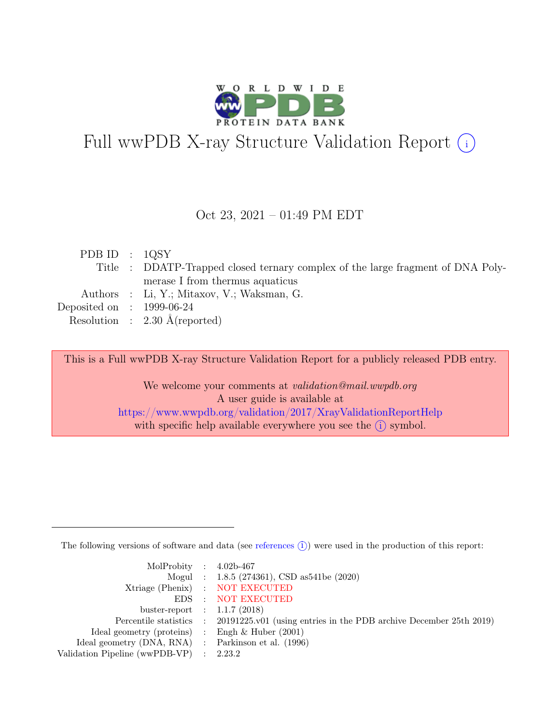

# Full wwPDB X-ray Structure Validation Report  $\bigcirc$

#### Oct 23, 2021 – 01:49 PM EDT

| PDB ID : $1QSY$             |                                                                                 |
|-----------------------------|---------------------------------------------------------------------------------|
|                             | Title : DDATP-Trapped closed ternary complex of the large fragment of DNA Poly- |
|                             | merase I from thermus aquaticus                                                 |
|                             | Authors : Li, Y.; Mitaxov, V.; Waksman, G.                                      |
| Deposited on : $1999-06-24$ |                                                                                 |
|                             | Resolution : $2.30 \text{ Å}$ (reported)                                        |

This is a Full wwPDB X-ray Structure Validation Report for a publicly released PDB entry.

We welcome your comments at *validation@mail.wwpdb.org* A user guide is available at <https://www.wwpdb.org/validation/2017/XrayValidationReportHelp> with specific help available everywhere you see the  $(i)$  symbol.

The following versions of software and data (see [references](https://www.wwpdb.org/validation/2017/XrayValidationReportHelp#references)  $(i)$ ) were used in the production of this report:

| MolProbity : $4.02b-467$                            |                                                                                            |
|-----------------------------------------------------|--------------------------------------------------------------------------------------------|
|                                                     | Mogul : 1.8.5 (274361), CSD as 541be (2020)                                                |
|                                                     | Xtriage (Phenix) : NOT EXECUTED                                                            |
|                                                     | EDS : NOT EXECUTED                                                                         |
| buster-report : $1.1.7(2018)$                       |                                                                                            |
|                                                     | Percentile statistics : 20191225.v01 (using entries in the PDB archive December 25th 2019) |
| Ideal geometry (proteins) : Engh $\&$ Huber (2001)  |                                                                                            |
| Ideal geometry (DNA, RNA) : Parkinson et al. (1996) |                                                                                            |
| Validation Pipeline (wwPDB-VP)                      | $\therefore$ 2.23.2                                                                        |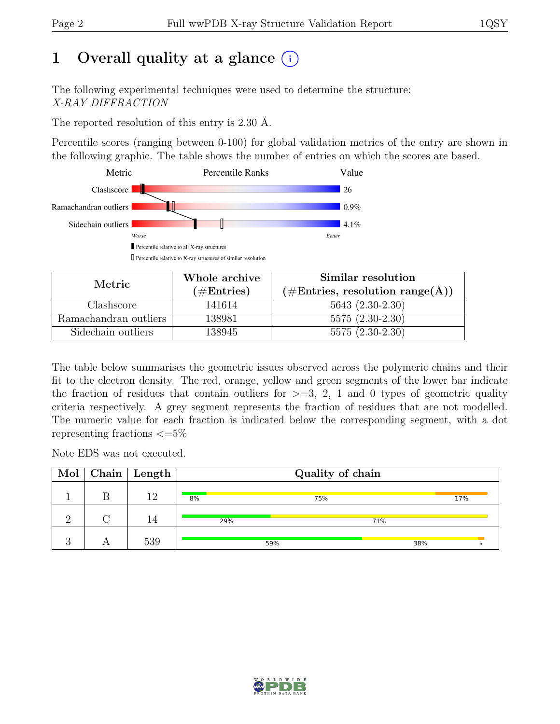# 1 Overall quality at a glance  $(i)$

The following experimental techniques were used to determine the structure: X-RAY DIFFRACTION

The reported resolution of this entry is 2.30 Å.

Percentile scores (ranging between 0-100) for global validation metrics of the entry are shown in the following graphic. The table shows the number of entries on which the scores are based.



| Metric.               | Whole archive        | Similar resolution                                                  |
|-----------------------|----------------------|---------------------------------------------------------------------|
|                       | $(\#\text{Entries})$ | $(\# \text{Entries}, \text{ resolution range}(\text{\AA})^{\circ})$ |
| Clashscore            | 141614               | $5643(2.30-2.30)$                                                   |
| Ramachandran outliers | 138981               | $5575(2.30-2.30)$                                                   |
| Sidechain outliers    | 138945               | $5575(2.30-2.30)$                                                   |

The table below summarises the geometric issues observed across the polymeric chains and their fit to the electron density. The red, orange, yellow and green segments of the lower bar indicate the fraction of residues that contain outliers for  $\geq$ =3, 2, 1 and 0 types of geometric quality criteria respectively. A grey segment represents the fraction of residues that are not modelled. The numeric value for each fraction is indicated below the corresponding segment, with a dot representing fractions  $\epsilon = 5\%$ 

Note EDS was not executed.

|  | $\text{Mol}$   Chain   Length |     | Quality of chain |     |     |
|--|-------------------------------|-----|------------------|-----|-----|
|  | 19                            | 8%  | 75%              |     | 17% |
|  |                               | 29% |                  | 71% |     |
|  | 539                           |     | 59%              | 38% |     |

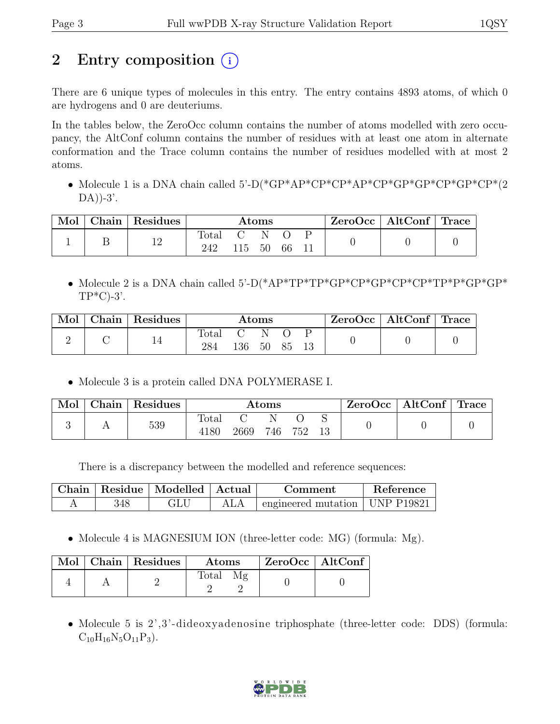# 2 Entry composition (i)

There are 6 unique types of molecules in this entry. The entry contains 4893 atoms, of which 0 are hydrogens and 0 are deuteriums.

In the tables below, the ZeroOcc column contains the number of atoms modelled with zero occupancy, the AltConf column contains the number of residues with at least one atom in alternate conformation and the Trace column contains the number of residues modelled with at most 2 atoms.

• Molecule 1 is a DNA chain called 5'-D(\*GP\*AP\*CP\*CP\*AP\*CP\*GP\*GP\*CP\*GP\*CP\*(2  $DA)$ )-3'.

| Mol | Chain Residues |                       |           | Atoms                   |  | $ZeroOcc \mid AltConf \mid Trace$ |  |
|-----|----------------|-----------------------|-----------|-------------------------|--|-----------------------------------|--|
|     | 12             | $\text{Total}$<br>242 | 115 50 66 | $\mathbf C = \mathbf N$ |  |                                   |  |

• Molecule 2 is a DNA chain called 5'-D(\*AP\*TP\*TP\*GP\*CP\*GP\*CP\*CP\*TP\*P\*GP\*GP\*  $TP*C$ -3'.

| Mol | Chain   Residues |       |                                                                | Atoms               |  | $ZeroOcc \mid AltConf \mid Trace$ |  |
|-----|------------------|-------|----------------------------------------------------------------|---------------------|--|-----------------------------------|--|
|     |                  | Total | $\left( \begin{array}{ccc} 1 & 1 \\ 1 & 1 \end{array} \right)$ | - N<br>136 50 85 13 |  |                                   |  |

• Molecule 3 is a protein called DNA POLYMERASE I.

| Mol | Chain Residues |                      |      | $\rm{Atoms}$ |     |  | $\text{ZeroOcc}$   AltConf   Trace |  |
|-----|----------------|----------------------|------|--------------|-----|--|------------------------------------|--|
|     | 539            | <b>Total</b><br>4180 | 2669 | 746          | 752 |  |                                    |  |

There is a discrepancy between the modelled and reference sequences:

|     | Chain   Residue   Modelled   Actual | Comment                                    | <b>Reference</b> |
|-----|-------------------------------------|--------------------------------------------|------------------|
| 348 | GLU                                 | $\pm$ engineered mutation $\pm$ UNP P19821 |                  |

• Molecule 4 is MAGNESIUM ION (three-letter code: MG) (formula: Mg).

|  | Mol   Chain   Residues | <b>Atoms</b> | ZeroOcc   AltConf |  |
|--|------------------------|--------------|-------------------|--|
|  |                        | Total        |                   |  |

• Molecule 5 is 2',3'-dideoxyadenosine triphosphate (three-letter code: DDS) (formula:  $C_{10}H_{16}N_5O_{11}P_3$ .

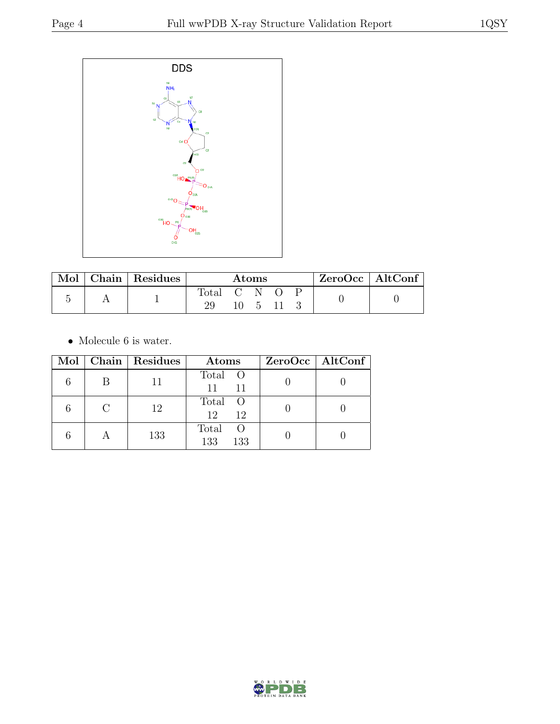

| Mol | Chain   $\overline{\text{Residues}}$ | Atoms     |  |              | $ZeroOcc \   \$ AltConf |  |  |
|-----|--------------------------------------|-----------|--|--------------|-------------------------|--|--|
|     |                                      | Total C N |  | $\mathbf{h}$ |                         |  |  |

 $\bullet\,$  Molecule 6 is water.

|           | Mol   Chain   Residues | Atoms                                     | $ZeroOcc \mid AltConf \mid$ |
|-----------|------------------------|-------------------------------------------|-----------------------------|
| B         |                        | Total O<br>11<br>11                       |                             |
| $\bigcap$ | 12                     | Total O<br>12<br>12                       |                             |
|           | 133                    | Total<br>$\left($ $\right)$<br>133<br>133 |                             |

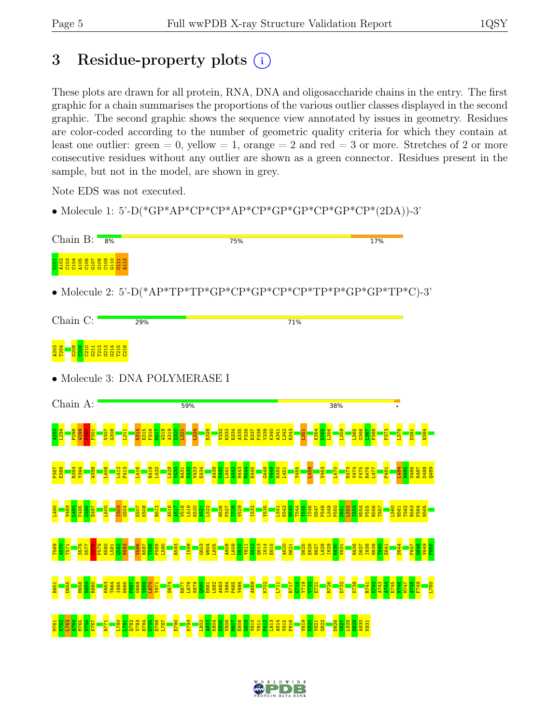# 3 Residue-property plots  $(i)$

These plots are drawn for all protein, RNA, DNA and oligosaccharide chains in the entry. The first graphic for a chain summarises the proportions of the various outlier classes displayed in the second graphic. The second graphic shows the sequence view annotated by issues in geometry. Residues are color-coded according to the number of geometric quality criteria for which they contain at least one outlier: green  $= 0$ , yellow  $= 1$ , orange  $= 2$  and red  $= 3$  or more. Stretches of 2 or more consecutive residues without any outlier are shown as a green connector. Residues present in the sample, but not in the model, are shown in grey.

Note EDS was not executed.

• Molecule 1: 5'-D(\*GP\*AP\*CP\*CP\*AP\*CP\*GP\*GP\*CP\*GP\*CP\*(2DA))-3'

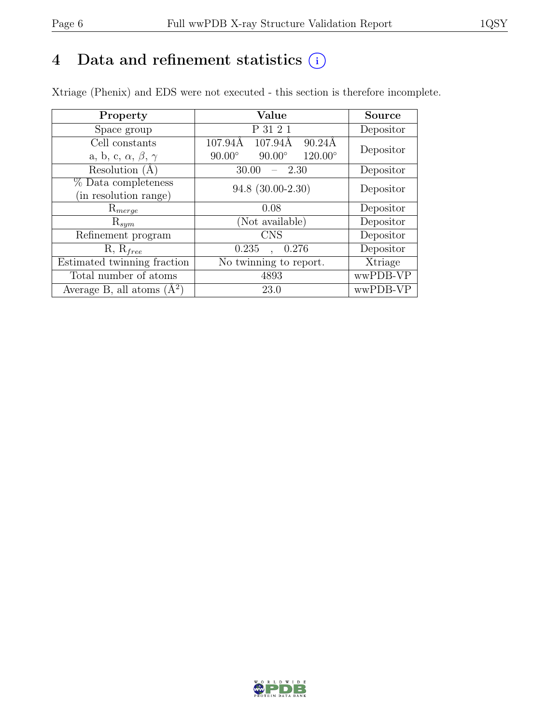# 4 Data and refinement statistics  $(i)$

Xtriage (Phenix) and EDS were not executed - this section is therefore incomplete.

| Property                               | Value                                              | <b>Source</b> |  |
|----------------------------------------|----------------------------------------------------|---------------|--|
| Space group                            | P 31 2 1                                           | Depositor     |  |
| Cell constants                         | 107.94Å<br>107.94Å<br>$90.24\text{\AA}$            | Depositor     |  |
| a, b, c, $\alpha$ , $\beta$ , $\gamma$ | $120.00^{\circ}$<br>$90.00^\circ$<br>$90.00^\circ$ |               |  |
| Resolution (A                          | 30.00<br>- 2.30                                    | Depositor     |  |
| % Data completeness                    | 94.8 (30.00-2.30)                                  | Depositor     |  |
| (in resolution range)                  |                                                    |               |  |
| $\mathrm{R}_{merge}$                   | 0.08                                               | Depositor     |  |
| $\mathrm{R}_{sym}$                     | (Not available)                                    | Depositor     |  |
| Refinement program                     | <b>CNS</b>                                         | Depositor     |  |
| $R, R_{free}$                          | 0.235<br>0.276                                     | Depositor     |  |
| Estimated twinning fraction            | No twinning to report.                             | Xtriage       |  |
| Total number of atoms                  | 4893                                               | wwPDB-VP      |  |
| Average B, all atoms $(A^2)$           | 23.0                                               | wwPDB-VP      |  |

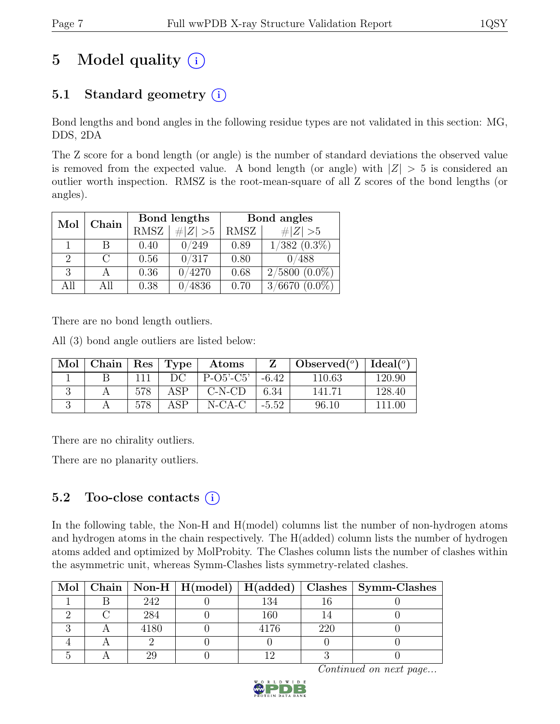# 5 Model quality  $(i)$

# 5.1 Standard geometry  $(i)$

Bond lengths and bond angles in the following residue types are not validated in this section: MG, DDS, 2DA

The Z score for a bond length (or angle) is the number of standard deviations the observed value is removed from the expected value. A bond length (or angle) with  $|Z| > 5$  is considered an outlier worth inspection. RMSZ is the root-mean-square of all Z scores of the bond lengths (or angles).

| Mol | Chain  | Bond lengths |             | Bond angles |                                               |
|-----|--------|--------------|-------------|-------------|-----------------------------------------------|
|     |        | <b>RMSZ</b>  | $\# Z  > 5$ | RMSZ        | $\# Z  > 5$                                   |
|     | В      | 0.40         | 0/249       | 0.89        | $1/382$ $(0.3\%)$                             |
| 2   | $\cap$ | 0.56         | 0/317       | 0.80        | 0/488                                         |
| 3   |        | 0.36         | 0/4270      | 0.68        | $2/5800(0.0\%)$                               |
| All | All    | 0.38         | 4836        | 0.70        | $^{\prime}6670$<br>$(0.0\%)$<br>$\frac{3}{2}$ |

There are no bond length outliers.

All (3) bond angle outliers are listed below:

| Mol | Chain |     | Res   Type | Atoms       |         | Observed $(°)$ | Ideal(°) |
|-----|-------|-----|------------|-------------|---------|----------------|----------|
|     |       |     | DC         | $P-O5'-C5'$ | $-6.42$ | 110.63         | 120.90   |
|     |       | 578 | ASP        | $C-N-CD$    | 6.34    | 141.71         | 128.40   |
|     |       |     | ΔSΡ        | $N-CA-C$    | $-5.52$ | 96.10          | 111 00   |

There are no chirality outliers.

There are no planarity outliers.

### 5.2 Too-close contacts  $(i)$

In the following table, the Non-H and H(model) columns list the number of non-hydrogen atoms and hydrogen atoms in the chain respectively. The H(added) column lists the number of hydrogen atoms added and optimized by MolProbity. The Clashes column lists the number of clashes within the asymmetric unit, whereas Symm-Clashes lists symmetry-related clashes.

|  |      |      |     | Mol   Chain   Non-H   H(model)   H(added)   Clashes   Symm-Clashes |
|--|------|------|-----|--------------------------------------------------------------------|
|  | 242  | 134  |     |                                                                    |
|  | 284  | 160  |     |                                                                    |
|  | 4180 | 4176 | 220 |                                                                    |
|  |      |      |     |                                                                    |
|  |      |      |     |                                                                    |

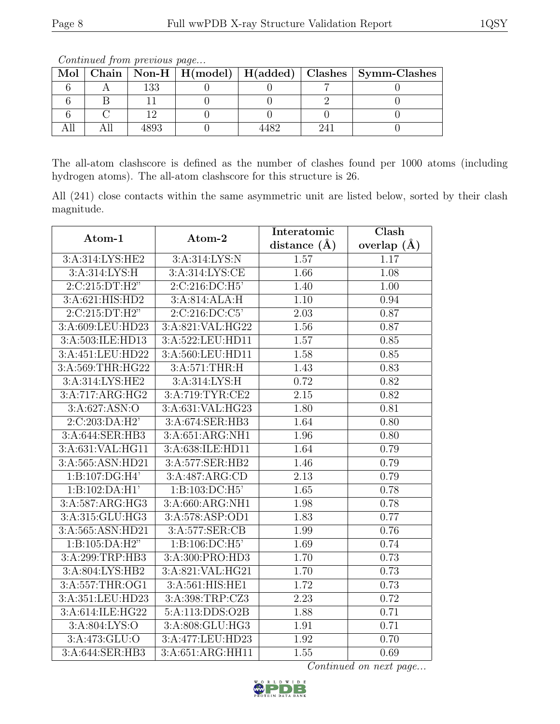|  | www.communication.com/www.communication.com/ |     |  |  |  |                                                                    |  |  |
|--|----------------------------------------------|-----|--|--|--|--------------------------------------------------------------------|--|--|
|  |                                              |     |  |  |  | Mol   Chain   Non-H   H(model)   H(added)   Clashes   Symm-Clashes |  |  |
|  |                                              | 133 |  |  |  |                                                                    |  |  |
|  |                                              |     |  |  |  |                                                                    |  |  |
|  |                                              |     |  |  |  |                                                                    |  |  |
|  |                                              |     |  |  |  |                                                                    |  |  |

Continued from previous page...

The all-atom clashscore is defined as the number of clashes found per 1000 atoms (including hydrogen atoms). The all-atom clashscore for this structure is 26.

All (241) close contacts within the same asymmetric unit are listed below, sorted by their clash magnitude.

| Atom-1                       | Atom-2                              | Interatomic    | Clash         |
|------------------------------|-------------------------------------|----------------|---------------|
|                              |                                     | distance $(A)$ | overlap $(A)$ |
| 3:A:314:LYS:HE2              | 3: A:314: LYS: N                    | 1.57           | 1.17          |
| 3:A:314:LYS:H                | 3:A:314:LYS:CE                      | 1.66           | 1.08          |
| 2:C:215:DT:H2"               | 2:C:216:DC:H5                       | 1.40           | 1.00          |
| $3:A:\overline{621:HIS:HD2}$ | 3:A:814:ALA:H                       | 1.10           | 0.94          |
| 2:C:215:DT:H2"               | 2:C:216:DC:C5'                      | 2.03           | 0.87          |
| 3:A:609:LEU:HD23             | 3:A:821:VAL:HG22                    | 1.56           | 0.87          |
| 3:A:503:ILE:HD13             | 3:A:522:LEU:HD11                    | 1.57           | 0.85          |
| 3:A:451:LEU:HD22             | 3:A:560:LEU:HD11                    | 1.58           | 0.85          |
| 3:A:569:THR:HG22             | 3:A:571:THR:H                       | 1.43           | 0.83          |
| 3: A:314: LYS: HE2           | 3: A:314: LYS:H                     | 0.72           | 0.82          |
| 3:A:717:ARG:HG2              | 3:A:719:TYR:CE2                     | 2.15           | 0.82          |
| 3: A:627: ASN:O              | 3:A:631:VAL:HG23                    | 1.80           | 0.81          |
| 2:C:203:DA:H2'               | 3:A:674:SER:HB3                     | 1.64           | 0.80          |
| 3:A:644:SER:HB3              | $3:A:651:ARG:\overline{\text{NH1}}$ | 1.96           | 0.80          |
| 3:A:631:VAL:HG11             | 3:A:638:ILE:HD11                    | 1.64           | 0.79          |
| 3:A:565:ASN:HD21             | 3:A:577:SER:HB2                     | 1.46           | 0.79          |
| 1:B:107:DG:H4'               | 3:A:487:ARG:CD                      | 2.13           | 0.79          |
| 1:B:102:DA:H1'               | 1:B:103:DC:H5'                      | 1.65           | 0.78          |
| 3:A:587:ARG:HG3              | 3:A:660:ARG:NH1                     | 1.98           | 0.78          |
| 3:A:315:GLU:HG3              | 3:A:578:ASP:OD1                     | 1.83           | 0.77          |
| 3:A:565:ASN:HD21             | 3:A:577:SER:CB                      | 1.99           | 0.76          |
| 1: B: 105: DA: H2"           | 1:B:106:DC:H5'                      | 1.69           | 0.74          |
| 3:A:299:TRP:HB3              | 3:A:300:PRO:HD3                     | 1.70           | 0.73          |
| 3:A:804:LYS:HB2              | 3:A:821:VAL:HG21                    | 1.70           | 0.73          |
| 3:A:557:THR:OG1              | 3:A:561:HIS:HE1                     | 1.72           | 0.73          |
| 3:A:351:LEU:HD23             | 3:A:398:TRP:CZ3                     | 2.23           | 0.72          |
| 3:A:614:ILE:HG22             | 5:A:113:DDS:O2B                     | 1.88           | 0.71          |
| 3:A:804:LYS:O                | 3:A:808:GLU:HG3                     | 1.91           | 0.71          |
| 3:A:473:GLU:O                | 3:A:477:LEU:HD23                    | 1.92           | 0.70          |
| 3:A:644:SER:HB3              | 3:A:651:ARG:HH11                    | 1.55           | 0.69          |

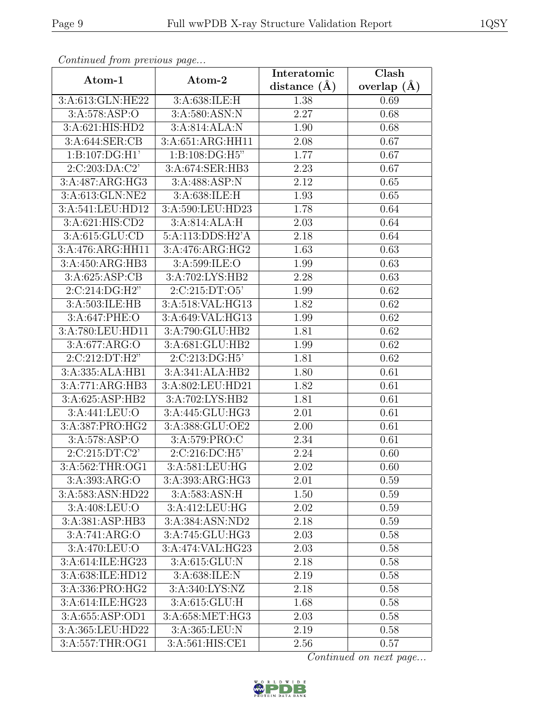| Continueu from pretious page      |                  | Interatomic    | Clash         |
|-----------------------------------|------------------|----------------|---------------|
| Atom-1                            | Atom-2           | distance $(A)$ | overlap $(A)$ |
| 3:A:613:GLN:HE22                  | 3:A:638:ILE:H    | 1.38           | 0.69          |
| 3:A:578:ASP:O                     | 3:A:580:ASN:N    | 2.27           | 0.68          |
| 3:A:621:HIS:HD2                   | 3:A:814:ALA:N    | 1.90           | 0.68          |
| 3:A:644:SER:CB                    | 3:A:651:ARG:HH11 | 2.08           | 0.67          |
| 1:B:107:DG:H1'                    | 1:B:108:DG:H5"   | 1.77           | 0.67          |
| 2:C:203:DA:C2'                    | 3:A:674:SER:HB3  | 2.23           | 0.67          |
| 3:A:487:ARG:HG3                   | 3:A:488:ASP:N    | 2.12           | 0.65          |
| 3:A:613:GLN:NE2                   | 3:A:638:ILE:H    | 1.93           | 0.65          |
| 3:A:541:LEU:HD12                  | 3:A:590:LEU:HD23 | 1.78           | 0.64          |
| 3:A:621:HIS:CD2                   | 3:A:814:ALA:H    | 2.03           | 0.64          |
| 3:A:615:GLU:CD                    | 5:A:113:DDS:H2'A | 2.18           | 0.64          |
| 3:A:476:ARG:HH11                  | 3:A:476:ARG:HG2  | 1.63           | 0.63          |
| 3:A:450:ARG:HB3                   | 3:A:599:ILE:O    | 1.99           | 0.63          |
| 3:A:625:ASP:CB                    | 3:A:702:LYS:HB2  | 2.28           | 0.63          |
| 2:C:214:DG:H2"                    | 2:C:215:DT:O5'   | 1.99           | 0.62          |
| 3:A:503:ILE:HB                    | 3:A:518:VAL:HG13 | 1.82           | 0.62          |
| 3:A:647:PHE:O                     | 3:A:649:VAL:HG13 | 1.99           | 0.62          |
| 3:A:780:LEU:HD11                  | 3:A:790:GLU:HB2  | 1.81           | 0.62          |
| 3:A:677:ARG:O                     | 3:A:681:GLU:HB2  | 1.99           | 0.62          |
| 2:C:212:DT:H2"                    | 2:C:213:DG:H5'   | 1.81           | 0.62          |
| 3:A:335:ALA:HB1                   | 3:A:341:ALA:HB2  | 1.80           | 0.61          |
| 3:A:771:ARG:HB3                   | 3:A:802:LEU:HD21 | 1.82           | 0.61          |
| 3:A:625:ASP:HB2                   | 3:A:702:LYS:HB2  | 1.81           | 0.61          |
| $3:A:441:\overline{\text{LEU:O}}$ | 3:A:445:GLU:HG3  | 2.01           | 0.61          |
| 3:A:387:PRO:HG2                   | 3:A:388:GLU:OE2  | 2.00           | 0.61          |
| 3: A:578: ASP:O                   | 3:A:579:PRO:C    | 2.34           | 0.61          |
| 2:C:215:DT:C2'                    | 2:C:216:DC:H5'   | 2.24           | 0.60          |
| 3:A:562:THR:OG1                   | 3: A:581:LEU:HG  | 2.02           | 0.60          |
| 3:A:393:ARG:O                     | 3:A:393:ARG:HG3  | 2.01           | 0.59          |
| 3:A:583:ASN:HD22                  | 3:A:583:ASN:H    | 1.50           | 0.59          |
| 3:A:408:LEU:O                     | 3:A:412:LEU:HG   | 2.02           | 0.59          |
| 3:A:381:ASP:HB3                   | 3:A:384:ASN:ND2  | 2.18           | 0.59          |
| 3:A:741:ARG:O                     | 3:A:745:GLU:HG3  | 2.03           | 0.58          |
| 3:A:470:LEU:O                     | 3:A:474:VAL:HG23 | 2.03           | 0.58          |
| 3:A:614:ILE:HG23                  | 3:A:615:GLU:N    | 2.18           | 0.58          |
| 3:A:638:ILE:HD12                  | 3: A:638: ILE:N  | 2.19           | 0.58          |
| 3:A:336:PRO:HG2                   | 3:A:340:LYS:NZ   | 2.18           | 0.58          |
| 3:A:614:ILE:HG23                  | 3:A:615:GLU:H    | 1.68           | 0.58          |
| 3:A:655:ASP:OD1                   | 3:A:658:MET:HG3  | 2.03           | 0.58          |
| 3:A:365:LEU:HD22                  | 3:A:365:LEU:N    | 2.19           | 0.58          |
| 3:A:557:THR:OG1                   | 3:A:561:HIS:CE1  | 2.56           | 0.57          |

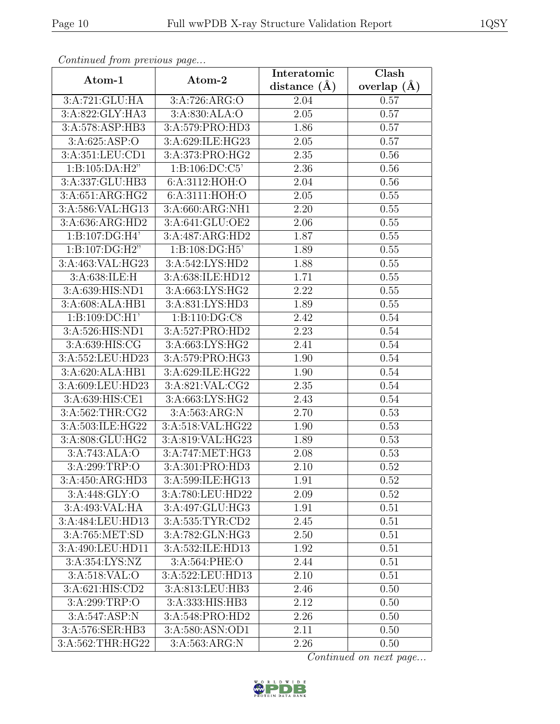| Continued from previous page |                    | Interatomic      | Clash         |
|------------------------------|--------------------|------------------|---------------|
| Atom-1                       | Atom-2             | distance $(\AA)$ | overlap $(A)$ |
| 3:A:721:GLU:HA               | 3:A:726:ARG:O      | 2.04             | 0.57          |
| 3:A:822:GLY:HA3              | 3: A:830:ALA:O     | 2.05             | 0.57          |
| 3:A:578:ASP:HB3              | 3:A:579:PRO:HD3    | 1.86             | 0.57          |
| 3:A:625:ASP:O                | 3:A:629:ILE:HG23   | 2.05             | 0.57          |
| 3:A:351:LEU:CD1              | 3:A:373:PRO:HG2    | 2.35             | 0.56          |
| 1:B:105:DA:H2"               | 1: B: 106: DC: C5' | 2.36             | 0.56          |
| 3:A:337:GLU:HB3              | 6:A:3112:HOH:O     | 2.04             | 0.56          |
| 3:A:651:ARG:HG2              | 6:A:3111:HOH:O     | 2.05             | 0.55          |
| 3:A:586:VAL:HG13             | 3:A:660:ARG:NH1    | 2.20             | 0.55          |
| 3:A:636:ARG:HD2              | 3:A:641:GLU:OE2    | 2.06             | 0.55          |
| $1:B:107:D\overline{G:H4'}$  | 3:A:487:ARG:HD2    | 1.87             | 0.55          |
| 1: B: 107: DG: H2"           | 1:B:108:DG:H5'     | 1.89             | 0.55          |
| 3:A:463:VAL:HG23             | 3:A:542:LYS:HD2    | 1.88             | 0.55          |
| 3:A:638:ILE:H                | 3:A:638:ILE:HD12   | 1.71             | 0.55          |
| 3:A:639:HIS:ND1              | 3:A:663:LYS:HG2    | 2.22             | 0.55          |
| 3:A:608:ALA:HB1              | 3:A:831:LYS:HD3    | 1.89             | 0.55          |
| $1:B:109:D\overline{C:H1'}$  | 1:B:110:DG:C8      | 2.42             | 0.54          |
| 3:A:526:HIS:ND1              | 3:A:527:PRO:HD2    | 2.23             | 0.54          |
| 3:A:639:HIS:CG               | 3:A:663:LYS:HG2    | 2.41             | 0.54          |
| 3:A:552:LEU:HD23             | 3:A:579:PRO:HG3    | 1.90             | 0.54          |
| 3:A:620:ALA:HB1              | 3:A:629:ILE:HG22   | 1.90             | 0.54          |
| 3:A:609:LEU:HD23             | 3:A:821:VAL:CG2    | 2.35             | 0.54          |
| 3:A:639:HIS:CE1              | 3:A:663:LYS:HG2    | 2.43             | 0.54          |
| 3:A:562:THR:CG2              | 3:A:563:ARG:N      | 2.70             | 0.53          |
| 3:A:503:ILE:HG22             | 3:A:518:VAL:HG22   | 1.90             | 0.53          |
| 3:A:808:GLU:HG2              | 3:A:819:VAL:HG23   | 1.89             | 0.53          |
| 3:A:743:ALA:O                | 3:A:747:MET:HG3    | 2.08             | 0.53          |
| 3:A:299:TRP:O                | 3:A:301:PRO:HD3    | 2.10             | 0.52          |
| 3:A:450:ARG:HD3              | 3:A:599:ILE:HG13   | 1.91             | 0.52          |
| 3:A:448:GLY:O                | 3:A:780:LEU:HD22   | 2.09             | 0.52          |
| 3: A:493: VAL: HA            | 3:A:497:GLU:HG3    | 1.91             | 0.51          |
| 3:A:484:LEU:HD13             | 3:A:535:TYR:CD2    | 2.45             | 0.51          |
| 3:A:765:MET:SD               | 3:A:782:GLN:HG3    | 2.50             | 0.51          |
| 3:A:490:LEU:HD11             | 3:A:532:ILE:HD13   | 1.92             | 0.51          |
| 3:A:354:LYS:NZ               | 3:A:564:PHE:O      | 2.44             | 0.51          |
| 3:A:518:VAL:O                | 3:A:522:LEU:HD13   | 2.10             | 0.51          |
| 3:A:621:HIS:CD2              | 3:A:813:LEU:HB3    | 2.46             | 0.50          |
| 3:A:299:TRP:O                | 3:A:333:HIS:HB3    | 2.12             | 0.50          |
| 3:A:547:ASP:N                | 3:A:548:PRO:HD2    | 2.26             | 0.50          |
| 3:A:576:SER:HB3              | 3:A:580:ASN:OD1    | 2.11             | 0.50          |
| 3:A:562:THR:HG22             | 3:A:563:ARG:N      | 2.26             | 0.50          |

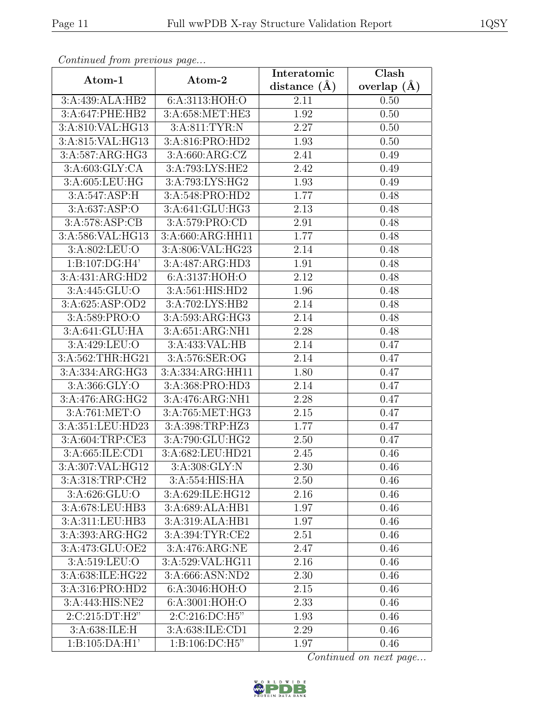| Continueu from pretious page |                               | Interatomic       | $\overline{\text{Clash}}$ |
|------------------------------|-------------------------------|-------------------|---------------------------|
| Atom-1                       | Atom-2                        | distance $(A)$    | overlap $(A)$             |
| 3:A:439:ALA:HB2              | 6:A:3113:HOH:O                | 2.11              | 0.50                      |
| 3:A:647:PHE:HB2              | 3: A:658:MET:HE3              | 1.92              | 0.50                      |
| 3:A:810:VAL:HG13             | 3:A:811:TYR:N                 | 2.27              | 0.50                      |
| 3:A:815:VAL:HG13             | 3:A:816:PRO:HD2               | 1.93              | 0.50                      |
| 3:A:587:ARG:HG3              | 3: A:660: ARG: CZ             | 2.41              | 0.49                      |
| 3: A:603: GLY: CA            | 3:A:793:LYS:HE2               | 2.42              | 0.49                      |
| 3:A:605:LEU:HG               | 3:A:793:LYS:HG2               | $\overline{1.93}$ | 0.49                      |
| 3:A:547:ASP:H                | 3:A:548:PRO:HD2               | 1.77              | 0.48                      |
| 3: A:637: ASP:O              | 3:A:641:GLU:HG3               | 2.13              | 0.48                      |
| 3:A:578:ASP:CB               | 3:A:579:PRO:CD                | 2.91              | 0.48                      |
| 3:A:586:VAL:HG13             | $3:A:660:A\overline{RG:HH11}$ | 1.77              | 0.48                      |
| 3:A:802:LEU:O                | 3:A:806:VAL:HG23              | $\overline{2.14}$ | 0.48                      |
| 1:B:107:DG:H4'               | 3:A:487:ARG:HD3               | 1.91              | 0.48                      |
| 3:A:431:ARG:HD2              | 6:A:3137:HOH:O                | 2.12              | 0.48                      |
| 3:A:445:GLU:O                | 3:A:561:HIS:HD2               | 1.96              | 0.48                      |
| 3:A:625:ASP:OD2              | 3:A:702:LYS:HB2               | 2.14              | 0.48                      |
| 3:A:589:PRO:O                | 3:A:593:ARG:HG3               | 2.14              | 0.48                      |
| 3:A:641:GLU:HA               | 3:A:651:ARG:NH1               | 2.28              | 0.48                      |
| 3:A:429:LEU:O                | 3:A:433:VAL:HB                | 2.14              | 0.47                      |
| 3:A:562:THR:HG21             | 3:A:576:SER:OG                | 2.14              | 0.47                      |
| 3:A:334:ARG:HG3              | 3:A:334:ARG:HH11              | 1.80              | 0.47                      |
| 3:A:366:GLY:O                | 3:A:368:PRO:HD3               | 2.14              | 0.47                      |
| 3:A:476:ARG:HG2              | 3:A:476:ARG:NH1               | 2.28              | 0.47                      |
| 3:A:761:MET:O                | 3:A:765:MET:HG3               | 2.15              | 0.47                      |
| 3:A:351:LEU:HD23             | 3:A:398:TRP:HZ3               | 1.77              | 0.47                      |
| $3:A:60\overline{4:TRP:CE3}$ | 3:A:790:GLU:HG2               | 2.50              | 0.47                      |
| 3:A:665:ILE:CD1              | 3:A:682:LEU:HD21              | 2.45              | 0.46                      |
| 3:A:307:VAL:HG12             | 3: A:308: GLY:N               | 2.30              | 0.46                      |
| 3:A:318:TRP:CH2              | 3:A:554:HIS:HA                | 2.50              | 0.46                      |
| 3:A:626:GLU:O                | 3:A:629:ILE:HG12              | 2.16              | 0.46                      |
| 3:A:678:LEU:HB3              | 3:A:689:ALA:HB1               | 1.97              | 0.46                      |
| 3:A:311:LEU:HB3              | 3:A:319:ALA:HB1               | 1.97              | 0.46                      |
| 3:A:393:ARG:HG2              | 3:A:394:TYR:CE2               | 2.51              | 0.46                      |
| 3:A:473:GLU:OE2              | 3:A:476:ARG:NE                | 2.47              | 0.46                      |
| 3:A:519:LEU:O                | 3:A:529:VAL:HG11              | 2.16              | 0.46                      |
| 3:A:638:ILE:HG22             | 3:A:666:ASN:ND2               | 2.30              | 0.46                      |
| 3:A:316:PRO:HD2              | 6:A:3046:HOH:O                | 2.15              | 0.46                      |
| 3:A:443:HIS:NE2              | 6:A:3001:HOH:O                | 2.33              | 0.46                      |
| 2:C:215:DT:H2"               | 2:C:216:DC:H5"                | 1.93              | 0.46                      |
| 3:A:638:ILE:H                | 3:A:638:ILE:CD1               | 2.29              | 0.46                      |
| 1: B: 105: DA: H1'           | 1: B: 106: DC: H5"            | 1.97              | 0.46                      |

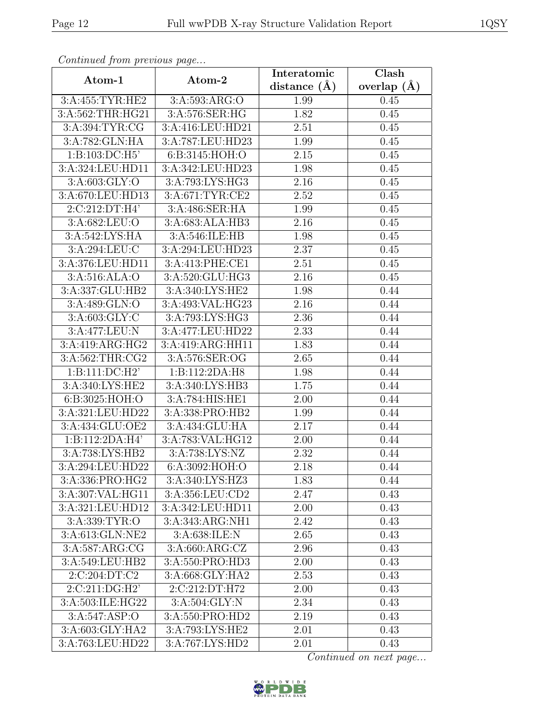| Continued from previous page |                  | Interatomic    | Clash           |
|------------------------------|------------------|----------------|-----------------|
| Atom-1                       | Atom-2           | distance $(A)$ | overlap $(\AA)$ |
| 3:A:455:TYR:HE2              | 3:A:593:ARG:O    | 1.99           | 0.45            |
| 3:A:562:THR:HG21             | 3:A:576:SER:HG   | 1.82           | 0.45            |
| 3: A:394: TYR: CG            | 3:A:416:LEU:HD21 | 2.51           | 0.45            |
| 3:A:782:GLN:HA               | 3:A:787:LEU:HD23 | 1.99           | 0.45            |
| 1: B: 103: DC: H5'           | 6:B:3145:HOH:O   | 2.15           | 0.45            |
| 3:A:324:LEU:HD11             | 3:A:342:LEU:HD23 | 1.98           | 0.45            |
| 3:A:603:GLY:O                | 3:A:793:LYS:HG3  | 2.16           | 0.45            |
| 3:A:670:LEU:HD13             | 3:A:671:TYR:CE2  | 2.52           | 0.45            |
| 2:C:212:DT:H4'               | 3:A:486:SER:HA   | 1.99           | 0.45            |
| 3:A:682:LEU:O                | 3:A:683:ALA:HB3  | 2.16           | 0.45            |
| 3:A:542:LYS:HA               | 3:A:546:ILE:HB   | 1.98           | 0.45            |
| 3: A:294:LEU:C               | 3:A:294:LEU:HD23 | 2.37           | 0.45            |
| 3:A:376:LEU:HD11             | 3:A:413:PHE:CE1  | 2.51           | 0.45            |
| 3:A:516:ALA:O                | 3:A:520:GLU:HG3  | 2.16           | 0.45            |
| 3:A:337:GLU:HB2              | 3:A:340:LYS:HE2  | 1.98           | 0.44            |
| 3:A:489:GLN:O                | 3:A:493:VAL:HG23 | 2.16           | 0.44            |
| $3:\overline{A:603:GLY:C}$   | 3:A:793:LYS:HG3  | 2.36           | 0.44            |
| 3:A:477:LEU:N                | 3:A:477:LEU:HD22 | 2.33           | 0.44            |
| 3:A:419:ARG:HG2              | 3:A:419:ARG:HH11 | 1.83           | 0.44            |
| 3:A:562:THR:CG2              | 3:A:576:SER:OG   | 2.65           | 0.44            |
| 1:B:111:DC:H2'               | 1:B:112:2DA:H8   | 1.98           | 0.44            |
| 3:A:340:LYS:HE2              | 3:A:340:LYS:HB3  | 1.75           | 0.44            |
| 6:B:3025:HOH:O               | 3:A:784:HIS:HE1  | 2.00           | 0.44            |
| 3:A:321:LEU:HD22             | 3:A:338:PRO:HB2  | 1.99           | 0.44            |
| 3:A:434:GLU:OE2              | 3:A:434:GLU:HA   | 2.17           | 0.44            |
| 1:B:112:2DA:H4'              | 3:A:783:VAL:HG12 | 2.00           | 0.44            |
| 3:A:738:LYS:HB2              | 3:A:738:LYS:NZ   | 2.32           | 0.44            |
| 3:A:294:LEU:HD22             | 6:A:3092:HOH:O   | 2.18           | 0.44            |
| 3:A:336:PRO:HG2              | 3:A:340:LYS:HZ3  | 1.83           | 0.44            |
| 3:A:307:VAL:HG11             | 3:A:356:LEU:CD2  | 2.47           | 0.43            |
| 3:A:321:LEU:HD12             | 3:A:342:LEU:HD11 | 2.00           | 0.43            |
| 3:A:339:TYR:O                | 3:A:343:ARG:NH1  | 2.42           | 0.43            |
| 3:A:613:GLN:NE2              | 3:A:638:ILE:N    | 2.65           | 0.43            |
| 3:A:587:ARG:CG               | 3:A:660:ARG:CZ   | 2.96           | 0.43            |
| 3:A:549:LEU:HB2              | 3:A:550:PRO:HD3  | 2.00           | 0.43            |
| 2:C:204:DT:C2                | 3:A:668:GLY:HA2  | 2.53           | 0.43            |
| $2:C:211:DG:\overline{H2'}$  | 2:C:212:DT:H72   | 2.00           | 0.43            |
| 3:A:503:ILE:HG22             | 3:A:504:GLY:N    | 2.34           | 0.43            |
| 3:A:547:ASP:O                | 3:A:550:PRO:HD2  | 2.19           | 0.43            |
| 3:A:603:GLY:HA2              | 3:A:793:LYS:HE2  | 2.01           | 0.43            |
| 3:A:763:LEU:HD22             | 3:A:767:LYS:HD2  | 2.01           | 0.43            |

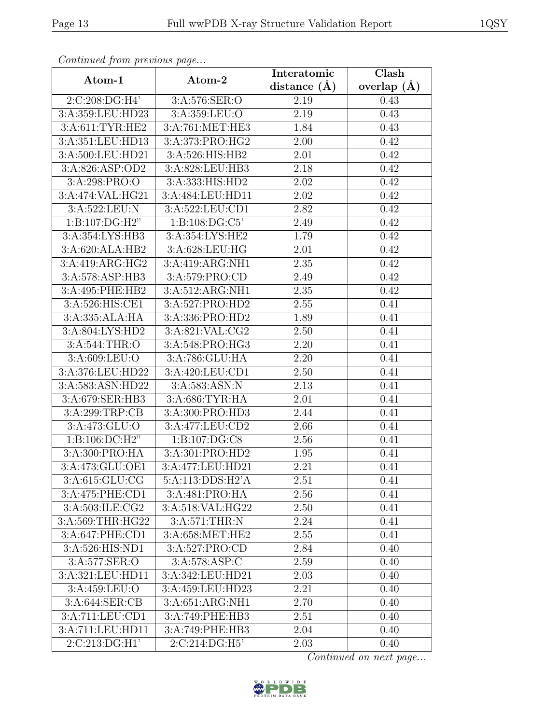| Continuati jibni protibus puga |                                | Interatomic      | Clash         |
|--------------------------------|--------------------------------|------------------|---------------|
| Atom-1                         | Atom-2                         | distance $(\AA)$ | overlap $(A)$ |
| 2:C:208:DG:H4'                 | 3:A:576:SER:O                  | 2.19             | 0.43          |
| 3:A:359:LEU:HD23               | 3:A:359:LEU:O                  | 2.19             | 0.43          |
| 3:A:611:TYR:HE2                | 3:A:761:MET:HE3                | 1.84             | 0.43          |
| 3:A:351:LEU:HD13               | 3:A:373:PRO:HG2                | 2.00             | 0.42          |
| 3:A:500:LEU:HD21               | 3:A:526:HIS:HB2                | 2.01             | 0.42          |
| 3:A:826:ASP:OD2                | 3:A:828:LEU:HB3                | 2.18             | 0.42          |
| 3:A:298:PRO:O                  | 3:A:333:HIS:HD2                | 2.02             | 0.42          |
| 3:A:474:VAL:HG21               | 3:A:484:LEU:HD11               | 2.02             | 0.42          |
| 3:A:522:LEU:N                  | $3: A:522: \overline{LEU:CD1}$ | 2.82             | 0.42          |
| 1:B:107:DG:H2"                 | 1: B: 108: DG: C5'             | 2.49             | 0.42          |
| 3:A:354:LYS:HB3                | 3:A:354:LYS:HE2                | 1.79             | 0.42          |
| 3:A:620:ALA:HB2                | 3:A:628:LEU:HG                 | 2.01             | 0.42          |
| 3:A:419:ARG:HG2                | 3:A:419:ARG:NH1                | 2.35             | 0.42          |
| 3:A:578:ASP:HB3                | 3:A:579:PRO:CD                 | 2.49             | 0.42          |
| 3:A:495:PHE:HB2                | 3:A:512:ARG:NH1                | 2.35             | 0.42          |
| 3:A:526:HIS:CE1                | 3:A:527:PRO:HD2                | 2.55             | 0.41          |
| 3:A:335:ALA:HA                 | 3:A:336:PRO:HD2                | 1.89             | 0.41          |
| 3: A:804: LYS:HD2              | 3:A:821:VAL:CG2                | 2.50             | 0.41          |
| 3:A:544:THR:O                  | 3:A:548:PRO:HG3                | 2.20             | 0.41          |
| 3:A:609:LEU:O                  | 3:A:786:GLU:HA                 | 2.20             | 0.41          |
| 3:A:376:LEU:HD22               | 3:A:420:LEU:CD1                | 2.50             | 0.41          |
| 3:A:583:ASN:HD22               | 3:A:583:ASN:N                  | 2.13             | 0.41          |
| 3:A:679:SER:HB3                | 3:A:686:TYR:HA                 | 2.01             | 0.41          |
| 3:A:299:TRP:CB                 | 3:A:300:PRO:HD3                | 2.44             | 0.41          |
| 3:A:473:GLU:O                  | 3:A:477:LEU:CD2                | 2.66             | 0.41          |
| 1:B:106:DC:H2"                 | $1: B: 107: \overline{DG:CS}$  | 2.56             | 0.41          |
| 3:A:300:PRO:HA                 | 3:A:301:PRO:H <sub>D2</sub>    | 1.95             | 0.41          |
| 3: A:473: GLU:OE1              | 3:A:477:LEU:HD21               | 2.21             | 0.41          |
| 3:A:615:GLU:CG                 | 5:A:113:DDS:H2'A               | 2.51             | 0.41          |
| 3:A:475:PHE:CD1                | 3:A:481:PRO:HA                 | 2.56             | 0.41          |
| 3:A:503:ILE:CG2                | 3:A:518:VAL:HG22               | 2.50             | 0.41          |
| 3:A:569:THR:HG22               | 3:A:571:THR:N                  | 2.24             | 0.41          |
| 3:A:647:PHE:CD1                | 3:A:658:MET:HE2                | 2.55             | 0.41          |
| 3:A:526:HIS:ND1                | 3:A:527:PRO:CD                 | 2.84             | 0.40          |
| 3:A:577:SER:O                  | 3:A:578:ASP:C                  | 2.59             | 0.40          |
| 3:A:321:LEU:HD11               | 3:A:342:LEU:HD21               | 2.03             | 0.40          |
| 3:A:459:LEU:O                  | 3:A:459:LEU:HD23               | 2.21             | 0.40          |
| 3:A:644:SER:CB                 | 3:A:651:ARG:NH1                | 2.70             | 0.40          |
| 3:A:711:LEU:CD1                | 3:A:749:PHE:HB3                | 2.51             | 0.40          |
| 3:A:711:LEU:HD11               | 3:A:749:PHE:HB3                | 2.04             | 0.40          |
| 2:C:213:DG:H1'                 | 2:C:214:DG:H5'                 | 2.03             | 0.40          |

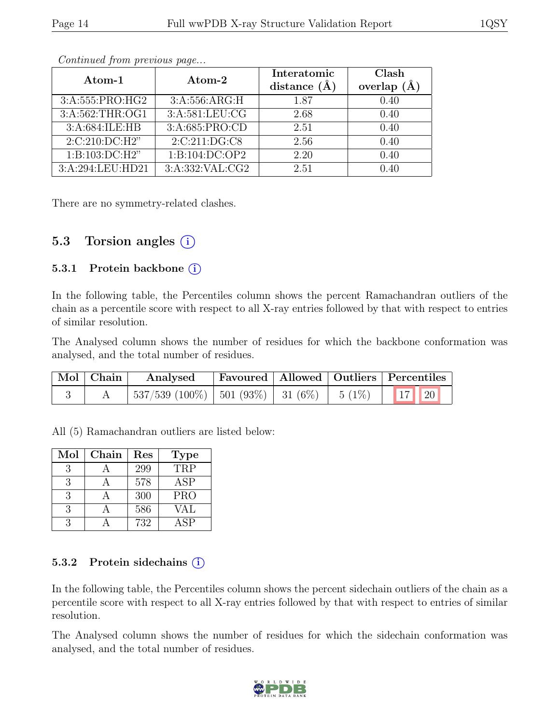| Atom-1           | Atom-2           | Interatomic<br>distance $(A)$ | Clash<br>overlap $(A)$ |
|------------------|------------------|-------------------------------|------------------------|
| 3:A:555:PRO:HG2  | 3: A:556: ARG: H | 1.87                          | 0.40                   |
| 3:A:562:THR:OG1  | 3:A:581:LEU:CG   | 2.68                          | 0.40                   |
| 3:A:684:ILE:HB   | 3:A:685:PRO:CD   | 2.51                          | 0.40                   |
| 2:C:210:DC:H2"   | 2:C:211:DG:CS    | 2.56                          | 0.40                   |
| 1:B:103:DC:H2"   | 1:B:104:DC:OP2   | 2.20                          | 0.40                   |
| 3:A:294:LEU:HD21 | 3:A:332:VAL:CG2  | 2.51                          | 0.40                   |

There are no symmetry-related clashes.

### 5.3 Torsion angles  $(i)$

#### 5.3.1 Protein backbone (i)

In the following table, the Percentiles column shows the percent Ramachandran outliers of the chain as a percentile score with respect to all X-ray entries followed by that with respect to entries of similar resolution.

The Analysed column shows the number of residues for which the backbone conformation was analysed, and the total number of residues.

|  | Mol Chain Analysed                                           |  | Favoured   Allowed   Outliers   Percentiles |
|--|--------------------------------------------------------------|--|---------------------------------------------|
|  | $\mid$ 537/539 (100%)   501 (93%)   31 (6%)   5 (1%)   17 20 |  |                                             |

All (5) Ramachandran outliers are listed below:

| Mol           | Chain | Res | <b>Type</b> |
|---------------|-------|-----|-------------|
| $\mathcal{R}$ |       | 299 | TRP         |
| 3             |       | 578 | <b>ASP</b>  |
| 3             |       | 300 | <b>PRO</b>  |
| 3             |       | 586 | VAL         |
|               |       | 732 | ASP         |

#### 5.3.2 Protein sidechains  $(i)$

In the following table, the Percentiles column shows the percent sidechain outliers of the chain as a percentile score with respect to all X-ray entries followed by that with respect to entries of similar resolution.

The Analysed column shows the number of residues for which the sidechain conformation was analysed, and the total number of residues.

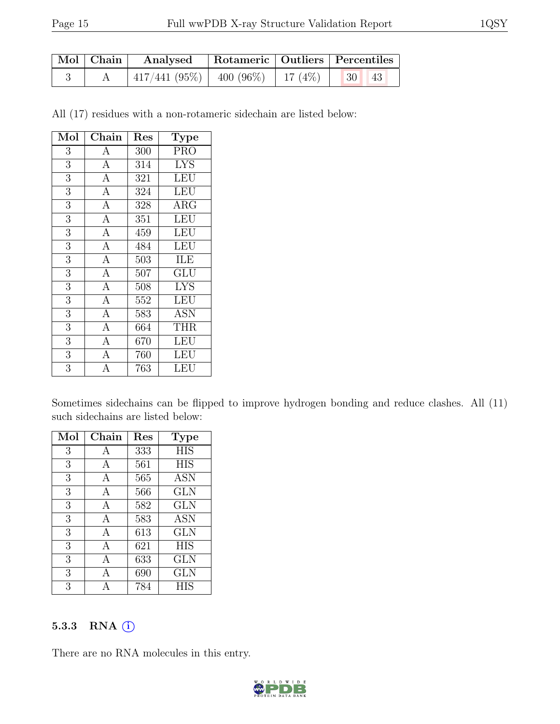| $\vert$ Mol $\vert$ Chain $\vert$ | Analysed   Rotameric   Outliers   Percentiles        |  |  |  |
|-----------------------------------|------------------------------------------------------|--|--|--|
|                                   | $\mid$ 417/441 (95%)   400 (96%)   17 (4%)   30   43 |  |  |  |

All (17) residues with a non-rotameric sidechain are listed below:

| Mol            | Chain          | Res              | Type                      |
|----------------|----------------|------------------|---------------------------|
| 3              | $\mathbf{A}$   | 300              | <b>PRO</b>                |
| $\sqrt{3}$     | $\overline{A}$ | 314              | <b>LYS</b>                |
| $\overline{3}$ | $\overline{A}$ | 321              | LEU                       |
| $\overline{3}$ | $\overline{A}$ | 324              | <b>LEU</b>                |
| $\overline{3}$ | $\overline{A}$ | 328              | $\rm{ARG}$                |
| $\overline{3}$ | $\overline{A}$ | 351              | $\overline{\text{LEU}}$   |
| $\overline{3}$ | $\overline{A}$ | 459              | <b>LEU</b>                |
| $\overline{3}$ | $\overline{A}$ | 484              | LEU                       |
| $\overline{3}$ | $\overline{A}$ | 503              | ILE                       |
| $\overline{3}$ | $\overline{A}$ | $\overline{507}$ | $\overline{\mathrm{GLU}}$ |
| $\overline{3}$ | $\overline{A}$ | 508              | <b>LYS</b>                |
| $\overline{3}$ | $\overline{A}$ | 552              | <b>LEU</b>                |
| $\overline{3}$ | $\overline{A}$ | 583              | <b>ASN</b>                |
| $\mathfrak{Z}$ | $\overline{A}$ | 664              | <b>THR</b>                |
| $\overline{3}$ | $\overline{A}$ | 670              | LEU                       |
| 3              | $\mathbf{A}$   | 760              | LEU                       |
| $\overline{3}$ | A              | 763              | LEU                       |

Sometimes sidechains can be flipped to improve hydrogen bonding and reduce clashes. All (11) such sidechains are listed below:

| Mol | Chain | Res | <b>Type</b> |
|-----|-------|-----|-------------|
| 3   | А     | 333 | <b>HIS</b>  |
| 3   | А     | 561 | <b>HIS</b>  |
| 3   | А     | 565 | <b>ASN</b>  |
| 3   | A     | 566 | GLN         |
| 3   | А     | 582 | GLN         |
| 3   | А     | 583 | <b>ASN</b>  |
| 3   | А     | 613 | GLN         |
| 3   | А     | 621 | <b>HIS</b>  |
| 3   | A     | 633 | GLN         |
| 3   | А     | 690 | <b>GLN</b>  |
| 3   |       | 784 | НIS         |

#### 5.3.3 RNA (i)

There are no RNA molecules in this entry.

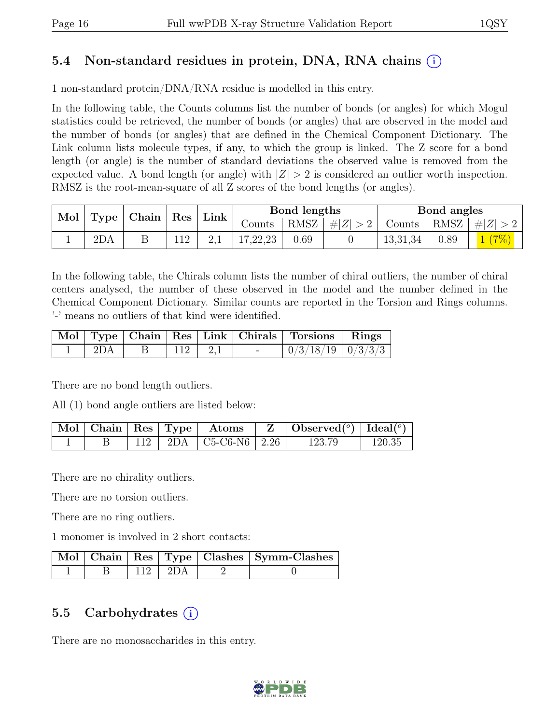## 5.4 Non-standard residues in protein, DNA, RNA chains (i)

1 non-standard protein/DNA/RNA residue is modelled in this entry.

In the following table, the Counts columns list the number of bonds (or angles) for which Mogul statistics could be retrieved, the number of bonds (or angles) that are observed in the model and the number of bonds (or angles) that are defined in the Chemical Component Dictionary. The Link column lists molecule types, if any, to which the group is linked. The Z score for a bond length (or angle) is the number of standard deviations the observed value is removed from the expected value. A bond length (or angle) with  $|Z| > 2$  is considered an outlier worth inspection. RMSZ is the root-mean-square of all Z scores of the bond lengths (or angles).

| Mol<br>Type | $\vert$ Chain $\vert$ Res $\vert$ | Link | Bond lengths |          |      | Bond angles |                       |      |         |
|-------------|-----------------------------------|------|--------------|----------|------|-------------|-----------------------|------|---------|
|             |                                   |      |              | Counts - | RMSZ | #Z  > 2     | $\sim$ Counts $\perp$ | RMSZ | $\# Z $ |
|             | 2DA                               |      |              | 17,22,23 | 0.69 |             | 13,31,34              | 0.89 | (7%)    |

In the following table, the Chirals column lists the number of chiral outliers, the number of chiral centers analysed, the number of these observed in the model and the number defined in the Chemical Component Dictionary. Similar counts are reported in the Torsion and Rings columns. '-' means no outliers of that kind were identified.

|     |  |                | Mol   Type   Chain   Res   Link   Chirals   Torsions   Rings |  |
|-----|--|----------------|--------------------------------------------------------------|--|
| 2DA |  | $112 \mid 2.1$ | $\mid 0/3/18/19 \mid 0/3/3/3 \mid$                           |  |

There are no bond length outliers.

All (1) bond angle outliers are listed below:

|  |  | $\mid$ Mol $\mid$ Chain $\mid$ Res $\mid$ Type $\mid$ Atoms | $\ Z\ $ | $\vert$ Observed $(^\circ)$ $\vert$ Ideal $(^\circ)$ |        |
|--|--|-------------------------------------------------------------|---------|------------------------------------------------------|--------|
|  |  | $112$   2DA   C5-C6-N6   2.26                               |         | 123.79                                               | 120.35 |

There are no chirality outliers.

There are no torsion outliers.

There are no ring outliers.

1 monomer is involved in 2 short contacts:

|  |               | Mol   Chain   Res   Type   Clashes   Symm-Clashes |
|--|---------------|---------------------------------------------------|
|  | $112 \pm 2DA$ |                                                   |

### 5.5 Carbohydrates  $(i)$

There are no monosaccharides in this entry.

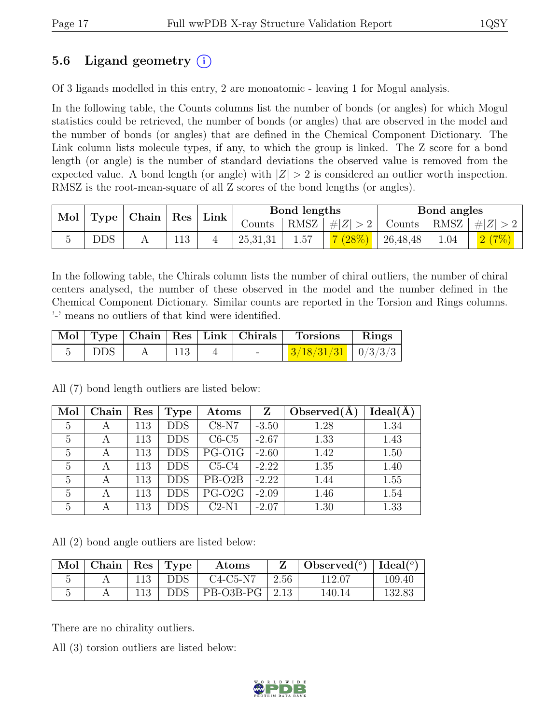## 5.6 Ligand geometry  $(i)$

Of 3 ligands modelled in this entry, 2 are monoatomic - leaving 1 for Mogul analysis.

In the following table, the Counts columns list the number of bonds (or angles) for which Mogul statistics could be retrieved, the number of bonds (or angles) that are observed in the model and the number of bonds (or angles) that are defined in the Chemical Component Dictionary. The Link column lists molecule types, if any, to which the group is linked. The Z score for a bond length (or angle) is the number of standard deviations the observed value is removed from the expected value. A bond length (or angle) with  $|Z| > 2$  is considered an outlier worth inspection. RMSZ is the root-mean-square of all Z scores of the bond lengths (or angles).

|  | Mol   Type   Chain   Res | Link |  | Bond lengths |          |      | Bond angles         |                                                      |      |       |
|--|--------------------------|------|--|--------------|----------|------|---------------------|------------------------------------------------------|------|-------|
|  |                          |      |  |              | Counts   |      | RMSZ   $\# Z  > 2$  | $\vert$ Counts $\vert$ RMSZ $\vert \# \vert Z \vert$ |      |       |
|  | <b>DDS</b>               |      |  |              | 25,31,31 | 1.57 | $\frac{7(28\%)}{1}$ | 26,48,48                                             | 1.04 | 2(7%) |

In the following table, the Chirals column lists the number of chiral outliers, the number of chiral centers analysed, the number of these observed in the model and the number defined in the Chemical Component Dictionary. Similar counts are reported in the Torsion and Rings columns. '-' means no outliers of that kind were identified.

|             |     |  | Mol Type Chain Res Link Chirals Torsions Rings |  |
|-------------|-----|--|------------------------------------------------|--|
| $\perp$ DDS | 113 |  | $\frac{3}{18/31/31}$   0/3/3/3                 |  |

All (7) bond length outliers are listed below:

| Mol | Chain | Res | <b>Type</b> | Atoms               | Z       | Observed $(A)$ | $Ideal(\AA)$ |
|-----|-------|-----|-------------|---------------------|---------|----------------|--------------|
| 5   | A     | 113 | <b>DDS</b>  | $C8-N7$             | $-3.50$ | 1.28           | 1.34         |
| 5   |       | 113 | <b>DDS</b>  | $C6-C5$             | $-2.67$ | 1.33           | 1.43         |
| 5   |       | 113 | <b>DDS</b>  | PG-O1G              | $-2.60$ | 1.42           | 1.50         |
| 5   |       | 113 | <b>DDS</b>  | $C5-C4$             | $-2.22$ | 1.35           | 1.40         |
| 5   |       | 113 | <b>DDS</b>  | $\overline{PB-O2B}$ | $-2.22$ | 1.44           | 1.55         |
| 5   |       | 113 | <b>DDS</b>  | PG-O2G              | $-2.09$ | 1.46           | 1.54         |
| 5   |       | 113 | <b>DDS</b>  | $C2-N1$             | $-2.07$ | 1.30           | 1.33         |

All (2) bond angle outliers are listed below:

| Mol        | Chain   Res   Type |     |            | Atoms       |      | Observed <sup>(<math>^o</math>)</sup> [Ideal( $^o$ ) |            |
|------------|--------------------|-----|------------|-------------|------|------------------------------------------------------|------------|
| $\tilde{}$ |                    | 113 | <b>DDS</b> | $C4-C5-N7$  | 2.56 | 112.07                                               | $109.40\,$ |
|            |                    | 113 | <b>DDS</b> | $PB-O3B-PG$ | 2.13 | 140.14                                               | 132.83     |

There are no chirality outliers.

All (3) torsion outliers are listed below:

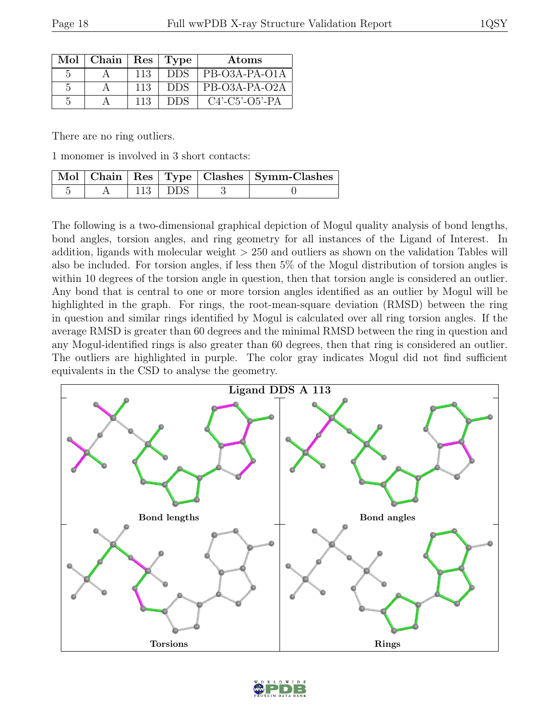| Mol | Chain | $Res \mid$ | Type       | Atoms                        |
|-----|-------|------------|------------|------------------------------|
|     |       | 113        | DDS        | PB-O3A-PA-O1A                |
| 5   |       | 113        | <b>DDS</b> | PB-O3A-PA-O2A                |
| 5   |       | 113        |            | $C4'$ - $C5'$ - $O5'$ - $PA$ |

There are no ring outliers.

1 monomer is involved in 3 short contacts:

|  |           | Mol   Chain   Res   Type   Clashes   Symm-Clashes |
|--|-----------|---------------------------------------------------|
|  | $113$ DDS |                                                   |

The following is a two-dimensional graphical depiction of Mogul quality analysis of bond lengths, bond angles, torsion angles, and ring geometry for all instances of the Ligand of Interest. In addition, ligands with molecular weight  $> 250$  and outliers as shown on the validation Tables will also be included. For torsion angles, if less then 5% of the Mogul distribution of torsion angles is within 10 degrees of the torsion angle in question, then that torsion angle is considered an outlier. Any bond that is central to one or more torsion angles identified as an outlier by Mogul will be highlighted in the graph. For rings, the root-mean-square deviation (RMSD) between the ring in question and similar rings identified by Mogul is calculated over all ring torsion angles. If the average RMSD is greater than 60 degrees and the minimal RMSD between the ring in question and any Mogul-identified rings is also greater than 60 degrees, then that ring is considered an outlier. The outliers are highlighted in purple. The color gray indicates Mogul did not find sufficient equivalents in the CSD to analyse the geometry.



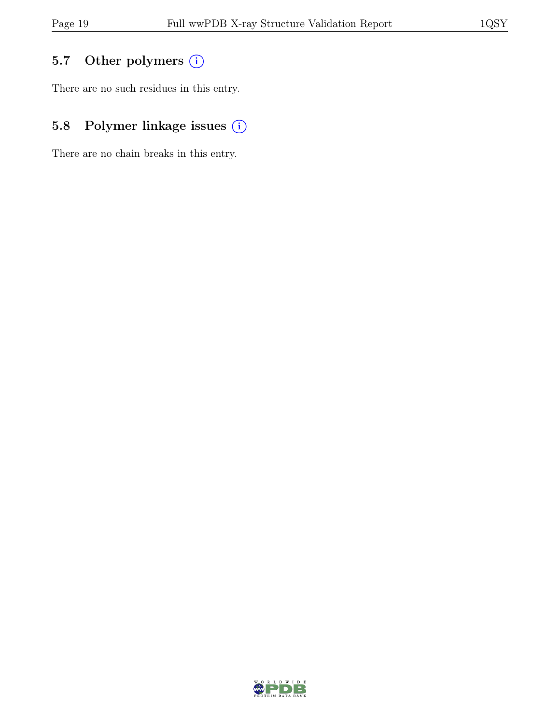# 5.7 Other polymers (i)

There are no such residues in this entry.

# 5.8 Polymer linkage issues  $(i)$

There are no chain breaks in this entry.